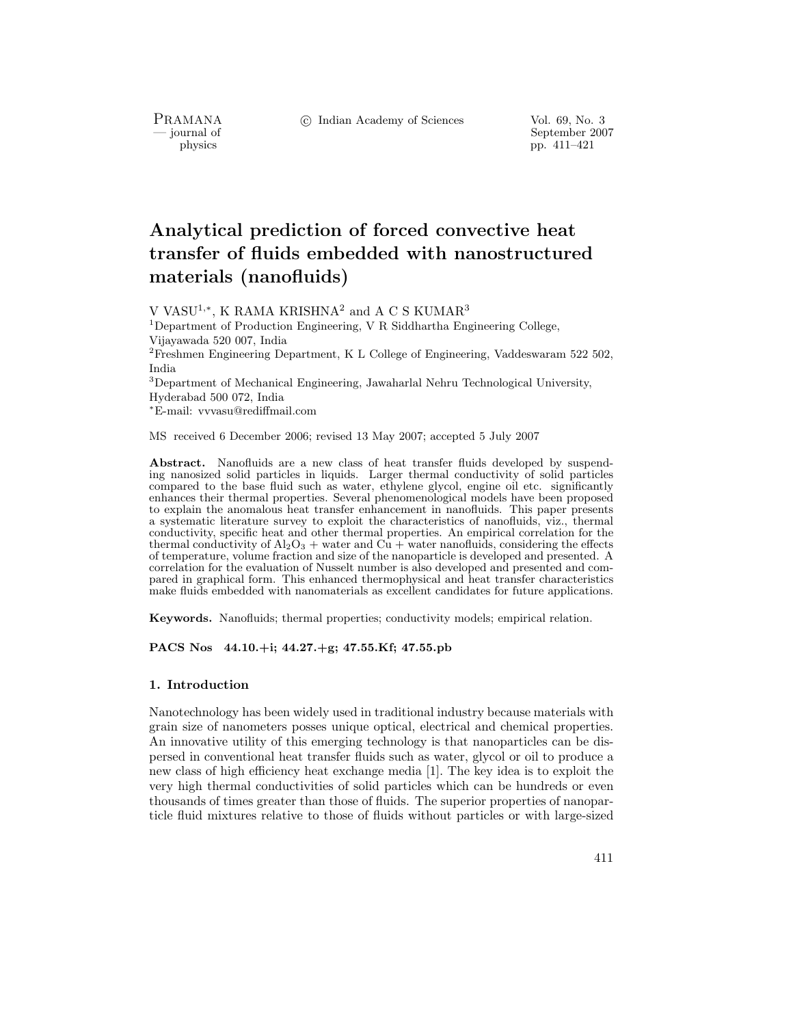PRAMANA<br>
— journal of

c Indian Academy of Sciences Vol. 69, No. 3

urnal of September 2007<br>
physics pp. 411–421 pp.  $411-421$ 

# **Analytical prediction of forced convective heat transfer of fluids embedded with nanostructured materials (nanofluids)**

V VASU1,∗, K RAMA KRISHNA<sup>2</sup> and A C S KUMAR<sup>3</sup>

<sup>1</sup>Department of Production Engineering, V R Siddhartha Engineering College, Vijayawada 520 007, India

<sup>2</sup>Freshmen Engineering Department, K L College of Engineering, Vaddeswaram 522 502, India

<sup>3</sup>Department of Mechanical Engineering, Jawaharlal Nehru Technological University, Hyderabad 500 072, India

<sup>∗</sup>E-mail: vvvasu@rediffmail.com

MS received 6 December 2006; revised 13 May 2007; accepted 5 July 2007

**Abstract.** Nanofluids are a new class of heat transfer fluids developed by suspending nanosized solid particles in liquids. Larger thermal conductivity of solid particles compared to the base fluid such as water, ethylene glycol, engine oil etc. significantly enhances their thermal properties. Several phenomenological models have been proposed to explain the anomalous heat transfer enhancement in nanofluids. This paper presents a systematic literature survey to exploit the characteristics of nanofluids, viz., thermal conductivity, specific heat and other thermal properties. An empirical correlation for the thermal conductivity of  $Al_2O_3$  + water and  $C\hat{u}$  + water nanofluids, considering the effects of temperature, volume fraction and size of the nanoparticle is developed and presented. A correlation for the evaluation of Nusselt number is also developed and presented and compared in graphical form. This enhanced thermophysical and heat transfer characteristics make fluids embedded with nanomaterials as excellent candidates for future applications.

**Keywords.** Nanofluids; thermal properties; conductivity models; empirical relation.

**PACS Nos 44.10.+i; 44.27.+g; 47.55.Kf; 47.55.pb**

# **1. Introduction**

Nanotechnology has been widely used in traditional industry because materials with grain size of nanometers posses unique optical, electrical and chemical properties. An innovative utility of this emerging technology is that nanoparticles can be dispersed in conventional heat transfer fluids such as water, glycol or oil to produce a new class of high efficiency heat exchange media [1]. The key idea is to exploit the very high thermal conductivities of solid particles which can be hundreds or even thousands of times greater than those of fluids. The superior properties of nanoparticle fluid mixtures relative to those of fluids without particles or with large-sized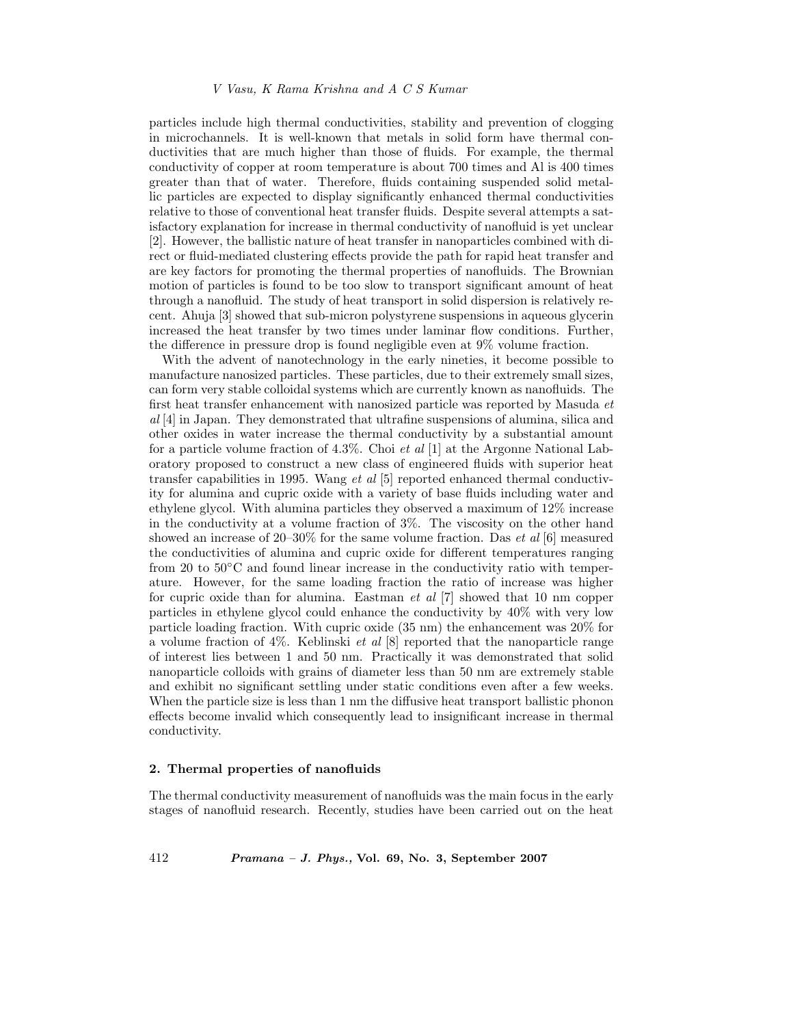particles include high thermal conductivities, stability and prevention of clogging in microchannels. It is well-known that metals in solid form have thermal conductivities that are much higher than those of fluids. For example, the thermal conductivity of copper at room temperature is about 700 times and Al is 400 times greater than that of water. Therefore, fluids containing suspended solid metallic particles are expected to display significantly enhanced thermal conductivities relative to those of conventional heat transfer fluids. Despite several attempts a satisfactory explanation for increase in thermal conductivity of nanofluid is yet unclear [2]. However, the ballistic nature of heat transfer in nanoparticles combined with direct or fluid-mediated clustering effects provide the path for rapid heat transfer and are key factors for promoting the thermal properties of nanofluids. The Brownian motion of particles is found to be too slow to transport significant amount of heat through a nanofluid. The study of heat transport in solid dispersion is relatively recent. Ahuja [3] showed that sub-micron polystyrene suspensions in aqueous glycerin increased the heat transfer by two times under laminar flow conditions. Further, the difference in pressure drop is found negligible even at 9% volume fraction.

With the advent of nanotechnology in the early nineties, it become possible to manufacture nanosized particles. These particles, due to their extremely small sizes, can form very stable colloidal systems which are currently known as nanofluids. The first heat transfer enhancement with nanosized particle was reported by Masuda *et al* [4] in Japan. They demonstrated that ultrafine suspensions of alumina, silica and other oxides in water increase the thermal conductivity by a substantial amount for a particle volume fraction of 4.3%. Choi *et al* [1] at the Argonne National Laboratory proposed to construct a new class of engineered fluids with superior heat transfer capabilities in 1995. Wang *et al* [5] reported enhanced thermal conductivity for alumina and cupric oxide with a variety of base fluids including water and ethylene glycol. With alumina particles they observed a maximum of 12% increase in the conductivity at a volume fraction of 3%. The viscosity on the other hand showed an increase of 20–30% for the same volume fraction. Das *et al* [6] measured the conductivities of alumina and cupric oxide for different temperatures ranging from 20 to 50◦C and found linear increase in the conductivity ratio with temperature. However, for the same loading fraction the ratio of increase was higher for cupric oxide than for alumina. Eastman *et al* [7] showed that 10 nm copper particles in ethylene glycol could enhance the conductivity by 40% with very low particle loading fraction. With cupric oxide (35 nm) the enhancement was 20% for a volume fraction of 4%. Keblinski *et al* [8] reported that the nanoparticle range of interest lies between 1 and 50 nm. Practically it was demonstrated that solid nanoparticle colloids with grains of diameter less than 50 nm are extremely stable and exhibit no significant settling under static conditions even after a few weeks. When the particle size is less than 1 nm the diffusive heat transport ballistic phonon effects become invalid which consequently lead to insignificant increase in thermal conductivity.

## **2. Thermal properties of nanofluids**

The thermal conductivity measurement of nanofluids was the main focus in the early stages of nanofluid research. Recently, studies have been carried out on the heat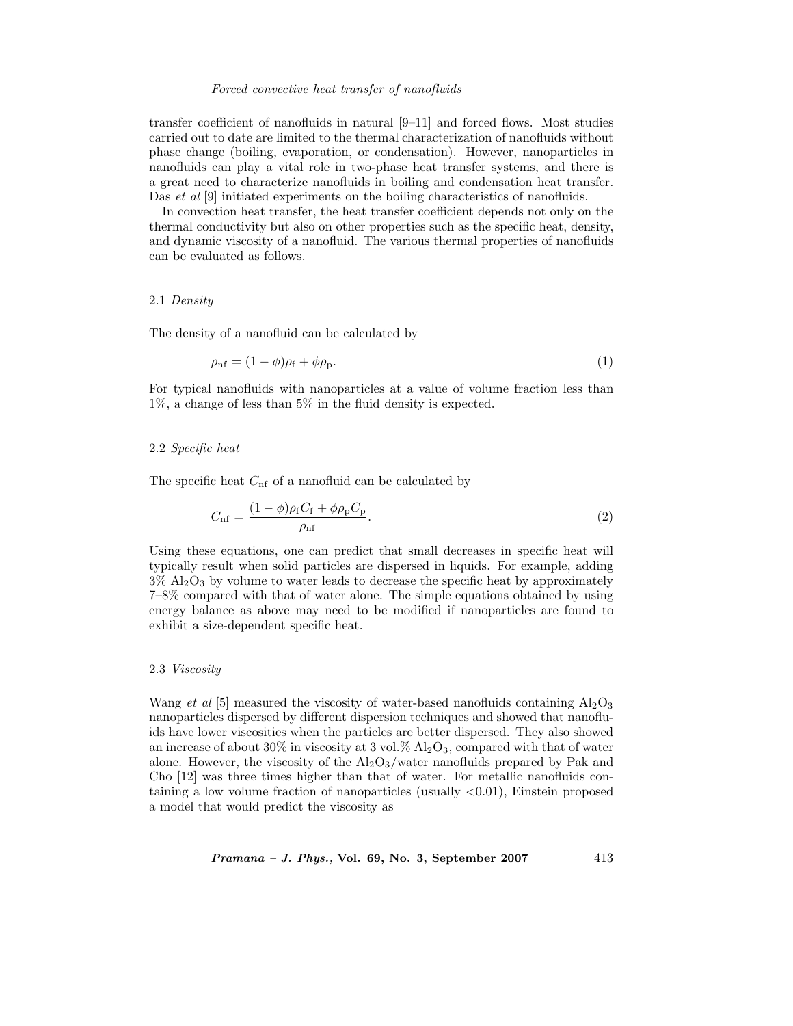## *Forced convective heat transfer of nanofluids*

transfer coefficient of nanofluids in natural [9–11] and forced flows. Most studies carried out to date are limited to the thermal characterization of nanofluids without phase change (boiling, evaporation, or condensation). However, nanoparticles in nanofluids can play a vital role in two-phase heat transfer systems, and there is a great need to characterize nanofluids in boiling and condensation heat transfer. Das *et al* [9] initiated experiments on the boiling characteristics of nanofluids.

In convection heat transfer, the heat transfer coefficient depends not only on the thermal conductivity but also on other properties such as the specific heat, density, and dynamic viscosity of a nanofluid. The various thermal properties of nanofluids can be evaluated as follows.

# 2.1 *Density*

The density of a nanofluid can be calculated by

$$
\rho_{\rm nf} = (1 - \phi)\rho_{\rm f} + \phi\rho_{\rm p}.\tag{1}
$$

For typical nanofluids with nanoparticles at a value of volume fraction less than 1%, a change of less than 5% in the fluid density is expected.

## 2.2 *Specific heat*

The specific heat  $C_{\text{nf}}$  of a nanofluid can be calculated by

$$
C_{\rm nf} = \frac{(1 - \phi)\rho_{\rm f}C_{\rm f} + \phi\rho_{\rm p}C_{\rm p}}{\rho_{\rm nf}}.\tag{2}
$$

Using these equations, one can predict that small decreases in specific heat will typically result when solid particles are dispersed in liquids. For example, adding  $3\%$  Al<sub>2</sub>O<sub>3</sub> by volume to water leads to decrease the specific heat by approximately 7–8% compared with that of water alone. The simple equations obtained by using energy balance as above may need to be modified if nanoparticles are found to exhibit a size-dependent specific heat.

#### 2.3 *Viscosity*

Wang *et al* [5] measured the viscosity of water-based nanofluids containing  $A_2O_3$ nanoparticles dispersed by different dispersion techniques and showed that nanofluids have lower viscosities when the particles are better dispersed. They also showed an increase of about  $30\%$  in viscosity at 3 vol.  $\%$  Al<sub>2</sub>O<sub>3</sub>, compared with that of water alone. However, the viscosity of the  $A<sub>12</sub>O<sub>3</sub>$ /water nanofluids prepared by Pak and Cho [12] was three times higher than that of water. For metallic nanofluids containing a low volume fraction of nanoparticles (usually  $\langle 0.01 \rangle$ ), Einstein proposed a model that would predict the viscosity as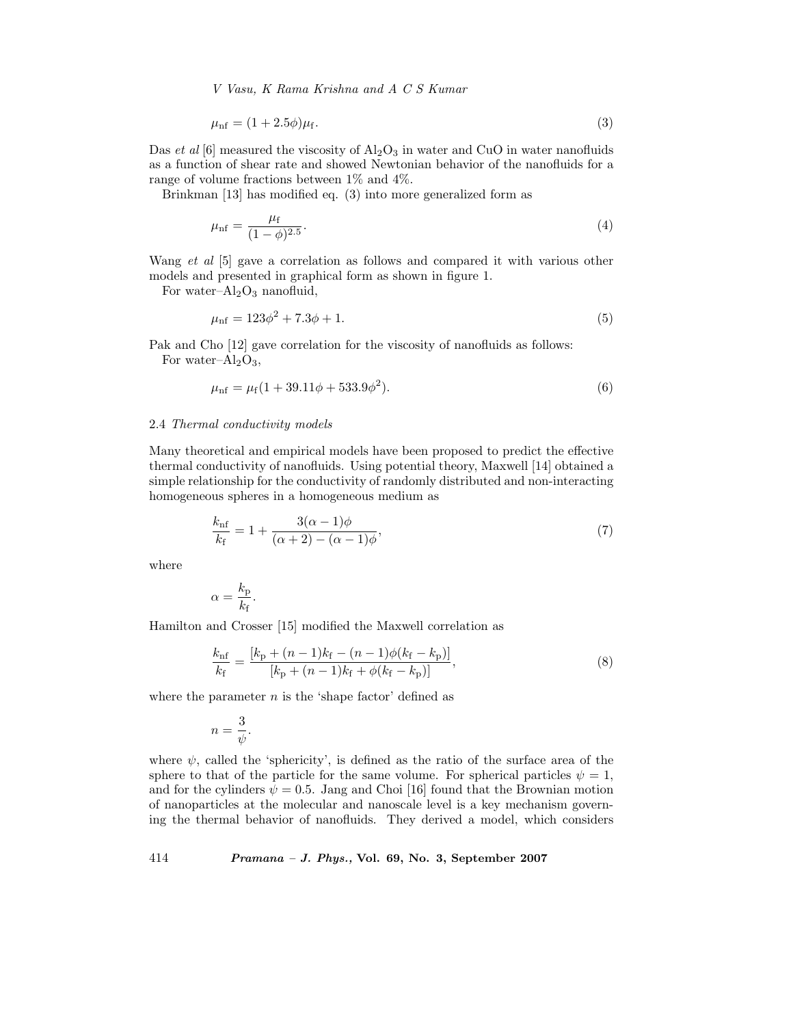*V Vasu, K Rama Krishna and A C S Kumar*

$$
\mu_{\rm nf} = (1 + 2.5\phi)\mu_{\rm f}.\tag{3}
$$

Das *et al* [6] measured the viscosity of  $\text{Al}_2\text{O}_3$  in water and CuO in water nanofluids as a function of shear rate and showed Newtonian behavior of the nanofluids for a range of volume fractions between 1% and 4%.

Brinkman [13] has modified eq. (3) into more generalized form as

$$
\mu_{\rm nf} = \frac{\mu_{\rm f}}{(1 - \phi)^{2.5}}.\tag{4}
$$

Wang *et al* [5] gave a correlation as follows and compared it with various other models and presented in graphical form as shown in figure 1.

For water– $Al_2O_3$  nanofluid,

$$
\mu_{\rm nf} = 123\phi^2 + 7.3\phi + 1.\tag{5}
$$

Pak and Cho [12] gave correlation for the viscosity of nanofluids as follows: For water– $Al_2O_3$ ,

$$
\mu_{\rm nf} = \mu_{\rm f} (1 + 39.11\phi + 533.9\phi^2). \tag{6}
$$

## 2.4 *Thermal conductivity models*

Many theoretical and empirical models have been proposed to predict the effective thermal conductivity of nanofluids. Using potential theory, Maxwell [14] obtained a simple relationship for the conductivity of randomly distributed and non-interacting homogeneous spheres in a homogeneous medium as

$$
\frac{k_{\rm nf}}{k_{\rm f}} = 1 + \frac{3(\alpha - 1)\phi}{(\alpha + 2) - (\alpha - 1)\phi},\tag{7}
$$

where

$$
\alpha = \frac{k_{\rm p}}{k_{\rm f}}.
$$

Hamilton and Crosser [15] modified the Maxwell correlation as

$$
\frac{k_{\rm nf}}{k_{\rm f}} = \frac{[k_{\rm p} + (n-1)k_{\rm f} - (n-1)\phi(k_{\rm f} - k_{\rm p})]}{[k_{\rm p} + (n-1)k_{\rm f} + \phi(k_{\rm f} - k_{\rm p})]},
$$
\n(8)

where the parameter  $n$  is the 'shape factor' defined as

$$
n = \frac{3}{\psi}.
$$

where  $\psi$ , called the 'sphericity', is defined as the ratio of the surface area of the sphere to that of the particle for the same volume. For spherical particles  $\psi = 1$ , and for the cylinders  $\psi = 0.5$ . Jang and Choi [16] found that the Brownian motion of nanoparticles at the molecular and nanoscale level is a key mechanism governing the thermal behavior of nanofluids. They derived a model, which considers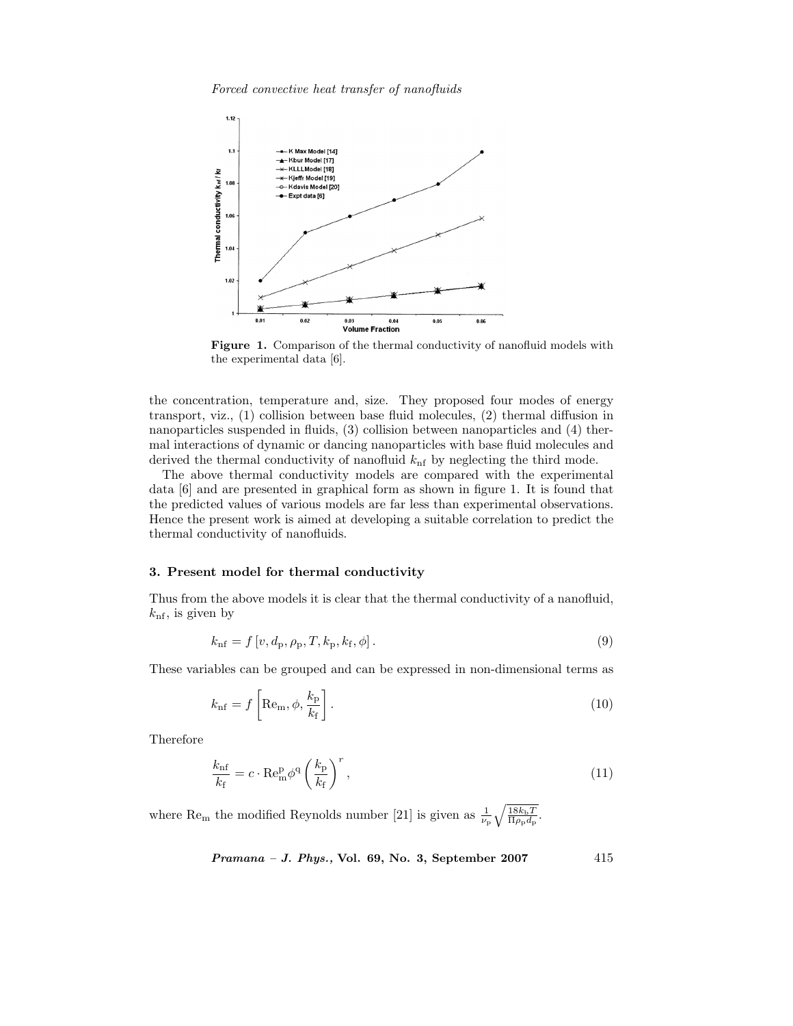*Forced convective heat transfer of nanofluids*



**Figure 1.** Comparison of the thermal conductivity of nanofluid models with the experimental data [6].

the concentration, temperature and, size. They proposed four modes of energy transport, viz., (1) collision between base fluid molecules, (2) thermal diffusion in nanoparticles suspended in fluids, (3) collision between nanoparticles and (4) thermal interactions of dynamic or dancing nanoparticles with base fluid molecules and derived the thermal conductivity of nanofluid  $k<sub>nf</sub>$  by neglecting the third mode.

The above thermal conductivity models are compared with the experimental data [6] and are presented in graphical form as shown in figure 1. It is found that the predicted values of various models are far less than experimental observations. Hence the present work is aimed at developing a suitable correlation to predict the thermal conductivity of nanofluids.

# **3. Present model for thermal conductivity**

Thus from the above models it is clear that the thermal conductivity of a nanofluid,  $k_{\text{nf}}$ , is given by

$$
k_{\rm nf} = f[v, d_{\rm p}, \rho_{\rm p}, T, k_{\rm p}, k_{\rm f}, \phi]. \tag{9}
$$

These variables can be grouped and can be expressed in non-dimensional terms as

$$
k_{\rm nf} = f\left[{\rm Re}_{\rm m}, \phi, \frac{k_{\rm p}}{k_{\rm f}}\right].\tag{10}
$$

Therefore

$$
\frac{k_{\rm nf}}{k_{\rm f}} = c \cdot \text{Re}_{\rm m}^{\rm p} \phi^{\rm q} \left(\frac{k_{\rm p}}{k_{\rm f}}\right)^r,\tag{11}
$$

where Re<sub>m</sub> the modified Reynolds number [21] is given as  $\frac{1}{\nu_{\rm p}}\sqrt{\frac{18k_{\rm b}T}{\Pi\rho_{\rm p}d_{\rm p}}}$ .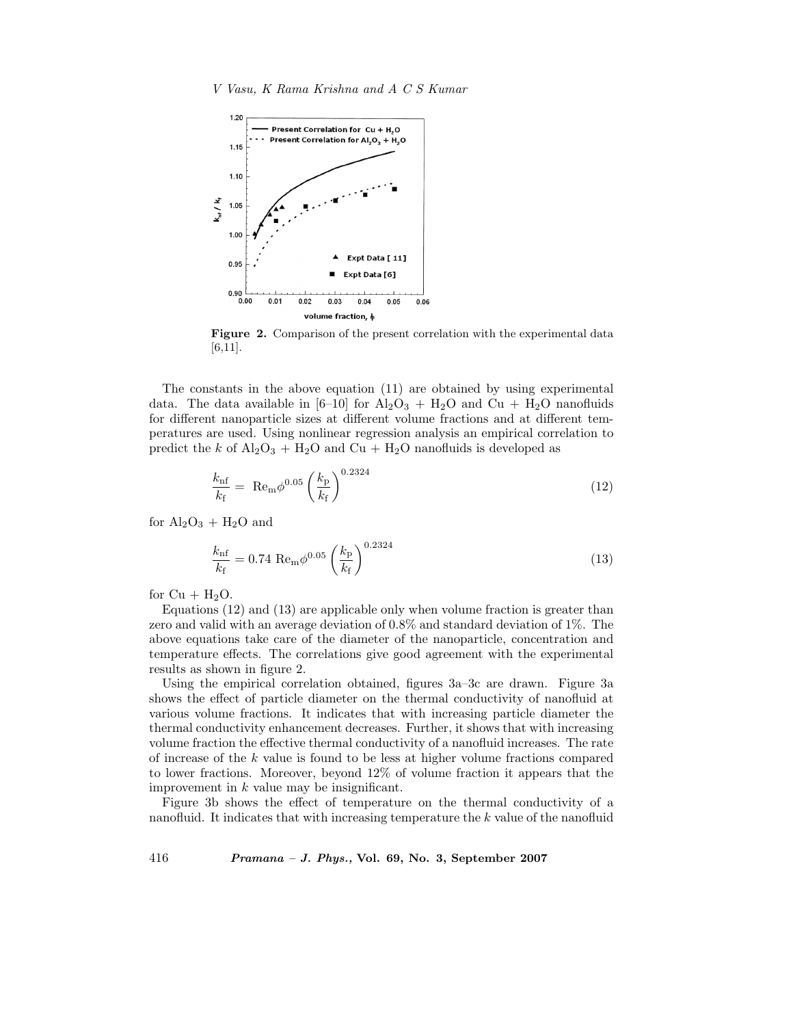

**Figure 2.** Comparison of the present correlation with the experimental data [6,11].

The constants in the above equation (11) are obtained by using experimental data. The data available in [6–10] for  $Al_2O_3 + H_2O$  and  $Cu + H_2O$  nanofluids for different nanoparticle sizes at different volume fractions and at different temperatures are used. Using nonlinear regression analysis an empirical correlation to predict the k of  $\text{Al}_2\text{O}_3$  + H<sub>2</sub>O and Cu + H<sub>2</sub>O nanofluids is developed as

$$
\frac{k_{\rm nf}}{k_{\rm f}} = \text{Re}_{\rm m} \phi^{0.05} \left(\frac{k_{\rm p}}{k_{\rm f}}\right)^{0.2324} \tag{12}
$$

for  $Al_2O_3 + H_2O$  and

$$
\frac{k_{\rm nf}}{k_{\rm f}} = 0.74 \text{ Re}_{\rm m} \phi^{0.05} \left(\frac{k_{\rm p}}{k_{\rm f}}\right)^{0.2324} \tag{13}
$$

for  $Cu + H<sub>2</sub>O$ .

Equations (12) and (13) are applicable only when volume fraction is greater than zero and valid with an average deviation of 0.8% and standard deviation of 1%. The above equations take care of the diameter of the nanoparticle, concentration and temperature effects. The correlations give good agreement with the experimental results as shown in figure 2.

Using the empirical correlation obtained, figures 3a–3c are drawn. Figure 3a shows the effect of particle diameter on the thermal conductivity of nanofluid at various volume fractions. It indicates that with increasing particle diameter the thermal conductivity enhancement decreases. Further, it shows that with increasing volume fraction the effective thermal conductivity of a nanofluid increases. The rate of increase of the k value is found to be less at higher volume fractions compared to lower fractions. Moreover, beyond 12% of volume fraction it appears that the improvement in  $k$  value may be insignificant.

Figure 3b shows the effect of temperature on the thermal conductivity of a nanofluid. It indicates that with increasing temperature the k value of the nanofluid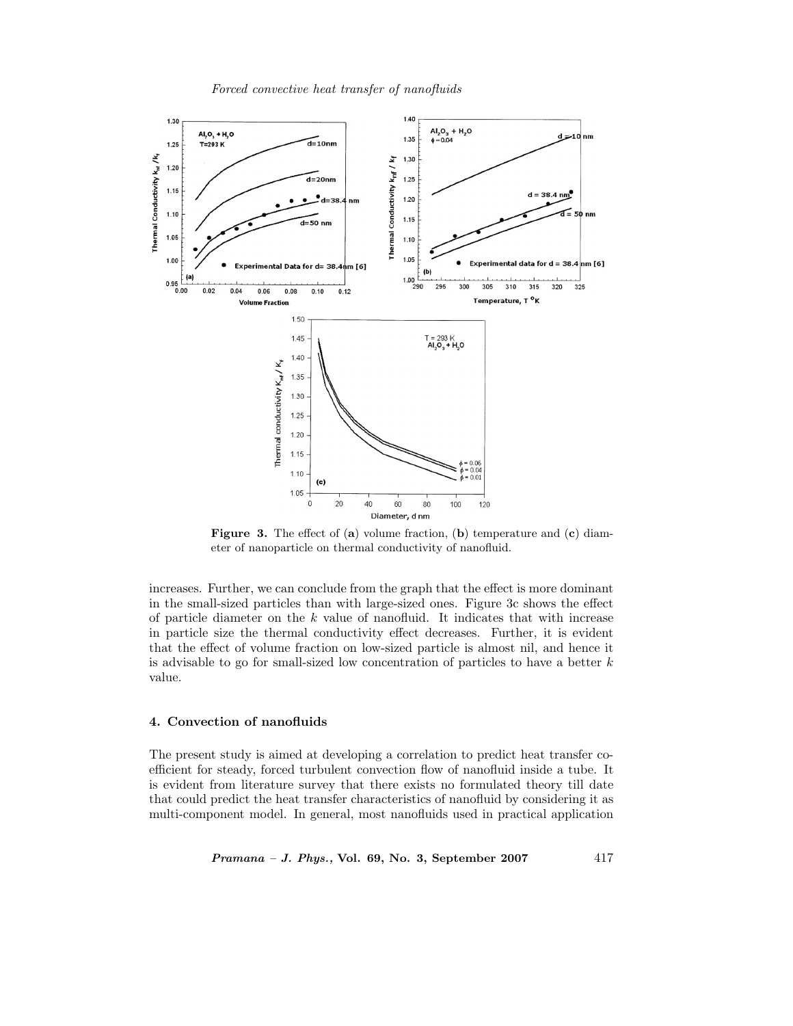*Forced convective heat transfer of nanofluids*



**Figure 3.** The effect of (**a**) volume fraction, (**b**) temperature and (**c**) diameter of nanoparticle on thermal conductivity of nanofluid.

increases. Further, we can conclude from the graph that the effect is more dominant in the small-sized particles than with large-sized ones. Figure 3c shows the effect of particle diameter on the  $k$  value of nanofluid. It indicates that with increase in particle size the thermal conductivity effect decreases. Further, it is evident that the effect of volume fraction on low-sized particle is almost nil, and hence it is advisable to go for small-sized low concentration of particles to have a better  $k$ value.

# **4. Convection of nanofluids**

The present study is aimed at developing a correlation to predict heat transfer coefficient for steady, forced turbulent convection flow of nanofluid inside a tube. It is evident from literature survey that there exists no formulated theory till date that could predict the heat transfer characteristics of nanofluid by considering it as multi-component model. In general, most nanofluids used in practical application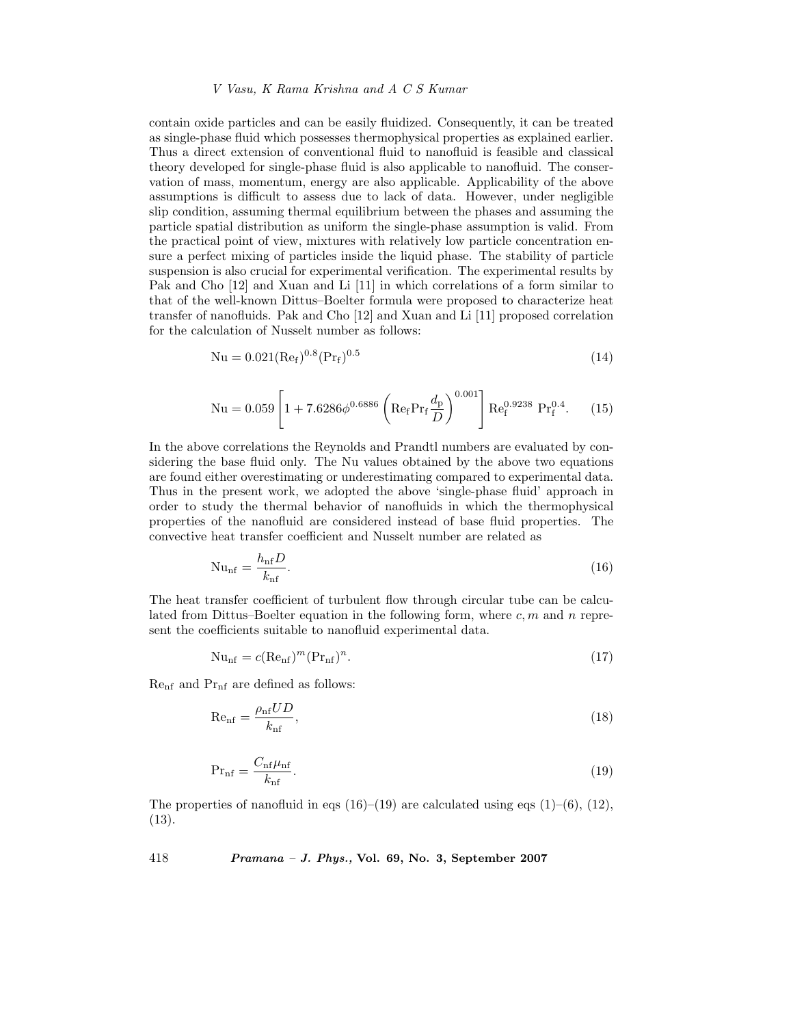## *V Vasu, K Rama Krishna and A C S Kumar*

contain oxide particles and can be easily fluidized. Consequently, it can be treated as single-phase fluid which possesses thermophysical properties as explained earlier. Thus a direct extension of conventional fluid to nanofluid is feasible and classical theory developed for single-phase fluid is also applicable to nanofluid. The conservation of mass, momentum, energy are also applicable. Applicability of the above assumptions is difficult to assess due to lack of data. However, under negligible slip condition, assuming thermal equilibrium between the phases and assuming the particle spatial distribution as uniform the single-phase assumption is valid. From the practical point of view, mixtures with relatively low particle concentration ensure a perfect mixing of particles inside the liquid phase. The stability of particle suspension is also crucial for experimental verification. The experimental results by Pak and Cho [12] and Xuan and Li [11] in which correlations of a form similar to that of the well-known Dittus–Boelter formula were proposed to characterize heat transfer of nanofluids. Pak and Cho [12] and Xuan and Li [11] proposed correlation for the calculation of Nusselt number as follows:

$$
Nu = 0.021(Re_f)^{0.8}(Pr_f)^{0.5}
$$
 (14)

$$
Nu = 0.059 \left[ 1 + 7.6286 \phi^{0.6886} \left( Re_f Pr_f \frac{d_p}{D} \right)^{0.001} \right] Re_f^{0.9238} Pr_f^{0.4}.
$$
 (15)

In the above correlations the Reynolds and Prandtl numbers are evaluated by considering the base fluid only. The Nu values obtained by the above two equations are found either overestimating or underestimating compared to experimental data. Thus in the present work, we adopted the above 'single-phase fluid' approach in order to study the thermal behavior of nanofluids in which the thermophysical properties of the nanofluid are considered instead of base fluid properties. The convective heat transfer coefficient and Nusselt number are related as

$$
Nu_{\text{nf}} = \frac{h_{\text{nf}}D}{k_{\text{nf}}}.\tag{16}
$$

The heat transfer coefficient of turbulent flow through circular tube can be calculated from Dittus–Boelter equation in the following form, where  $c, m$  and n represent the coefficients suitable to nanofluid experimental data.

$$
\mathrm{Nu}_{\mathrm{nf}} = c(\mathrm{Re}_{\mathrm{nf}})^m(\mathrm{Pr}_{\mathrm{nf}})^n. \tag{17}
$$

 $\mathrm{Re}_\mathrm{nf}$  and  $\mathrm{Pr}_\mathrm{nf}$  are defined as follows:

$$
\text{Re}_{\text{nf}} = \frac{\rho_{\text{nf}} U D}{k_{\text{nf}}},\tag{18}
$$

$$
Pr_{\text{nf}} = \frac{C_{\text{nf}} \mu_{\text{nf}}}{k_{\text{nf}}}.\tag{19}
$$

The properties of nanofluid in eqs  $(16)$ – $(19)$  are calculated using eqs  $(1)$ – $(6)$ ,  $(12)$ , (13).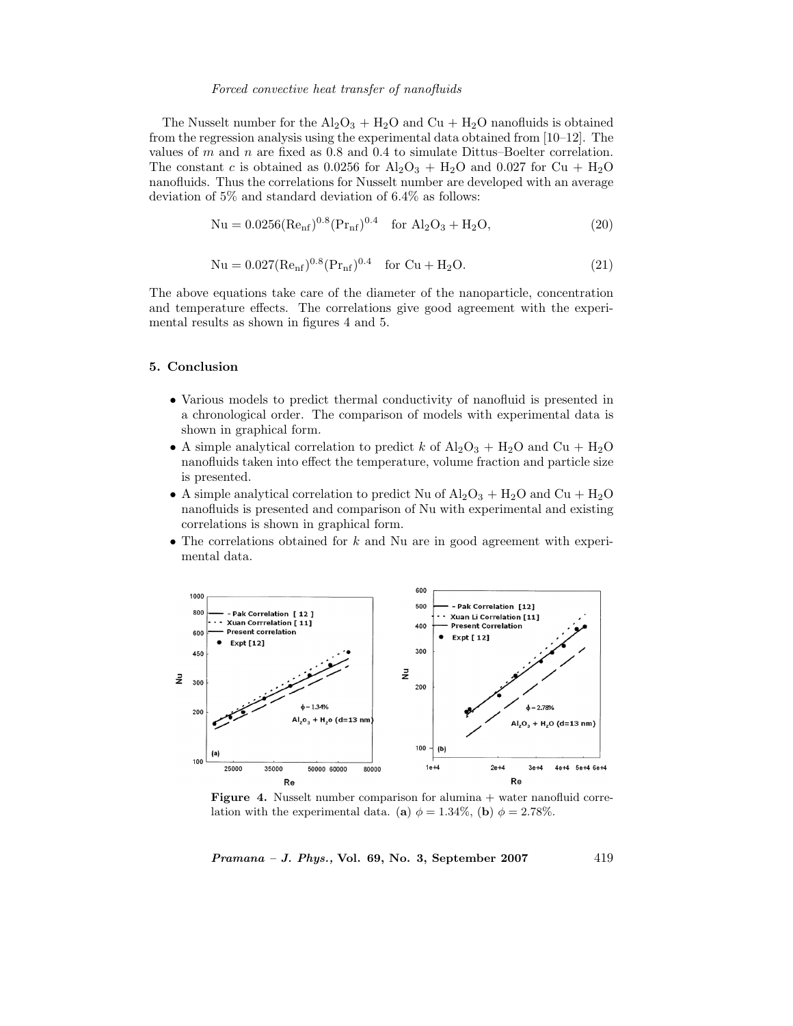## *Forced convective heat transfer of nanofluids*

The Nusselt number for the  $\text{Al}_2\text{O}_3 + \text{H}_2\text{O}$  and  $\text{Cu} + \text{H}_2\text{O}$  nanofluids is obtained from the regression analysis using the experimental data obtained from [10–12]. The values of m and n are fixed as 0.8 and 0.4 to simulate Dittus–Boelter correlation. The constant c is obtained as 0.0256 for  $\text{Al}_2\text{O}_3$  +  $\text{H}_2\text{O}$  and 0.027 for Cu +  $\text{H}_2\text{O}$ nanofluids. Thus the correlations for Nusselt number are developed with an average deviation of 5% and standard deviation of 6.4% as follows:

$$
Nu = 0.0256(Renf)0.8(Prnf)0.4 for Al2O3 + H2O,
$$
\n(20)

$$
Nu = 0.027(Re_{nf})^{0.8}(Pr_{nf})^{0.4} \text{ for Cu} + H_2O.
$$
 (21)

The above equations take care of the diameter of the nanoparticle, concentration and temperature effects. The correlations give good agreement with the experimental results as shown in figures 4 and 5.

# **5. Conclusion**

- Various models to predict thermal conductivity of nanofluid is presented in a chronological order. The comparison of models with experimental data is shown in graphical form.
- A simple analytical correlation to predict k of  $\text{Al}_2\text{O}_3$  +  $\text{H}_2\text{O}$  and Cu +  $\text{H}_2\text{O}$ nanofluids taken into effect the temperature, volume fraction and particle size is presented.
- A simple analytical correlation to predict Nu of  $\text{Al}_2\text{O}_3 + \text{H}_2\text{O}$  and  $\text{Cu} + \text{H}_2\text{O}$ nanofluids is presented and comparison of Nu with experimental and existing correlations is shown in graphical form.
- The correlations obtained for k and Nu are in good agreement with experimental data.



**Figure 4.** Nusselt number comparison for alumina + water nanofluid correlation with the experimental data. (**a**)  $\phi = 1.34\%$ , (**b**)  $\phi = 2.78\%$ .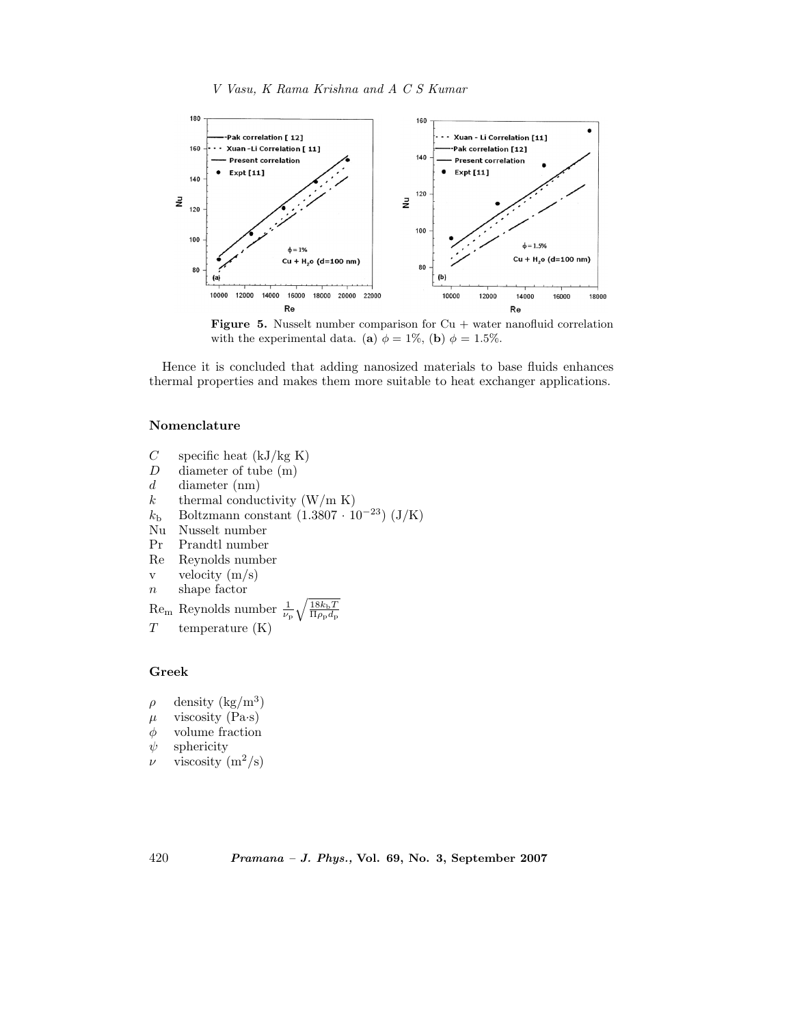



**Figure 5.** Nusselt number comparison for  $Cu$  + water nanofluid correlation with the experimental data. (**a**)  $\phi = 1\%$ , (**b**)  $\phi = 1.5\%$ .

Hence it is concluded that adding nanosized materials to base fluids enhances thermal properties and makes them more suitable to heat exchanger applications.

# **Nomenclature**

- $C$  specific heat (kJ/kg K)
- D diameter of tube (m)
- $d$  diameter (nm)<br>  $k$  thermal conduction
- thermal conductivity  $(W/m K)$
- $k<sub>b</sub>$  Boltzmann constant (1.3807 · 10<sup>-23</sup>) (J/K)<br>Nu Nusselt number
- Nu Nusselt number
- Pr Prandtl number
- Re Reynolds number
- v velocity  $(m/s)$
- $n$  shape factor

 $\text{Re}_\text{m}$  Reynolds number  $\frac{1}{\nu_\text{p}}\sqrt{\frac{18k_\text{b}T}{\Pi\rho_\text{p}d_\text{p}}}$  $T$  temperature  $(K)$ 

# **Greek**

 $\rho$  density (kg/m<sup>3</sup>) μ viscosity (Pa·s)<br>  $\phi$  volume fraction volume fraction  $\psi$  sphericity  $\nu$  viscosity  $(m^2/s)$